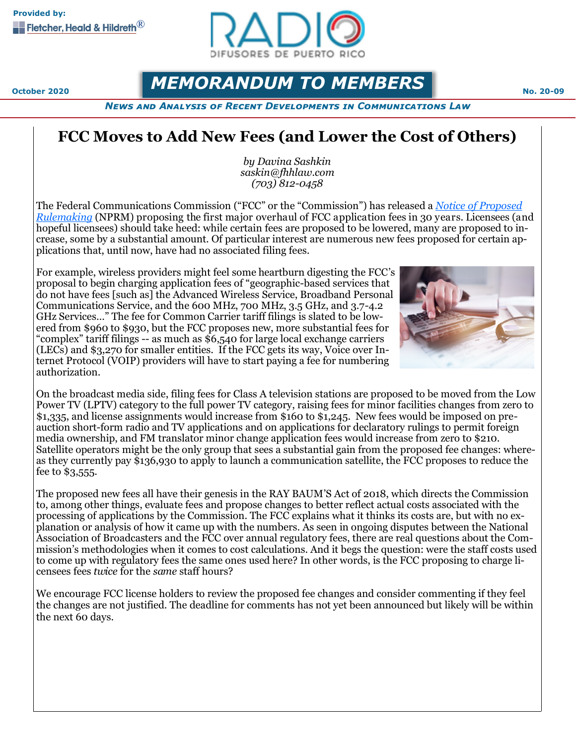

## *MEMORANDUM TO MEMBERS* No. 20-09

*News and Analysis of Recent Developments in Communications Law*

## **FCC Moves to Add New Fees (and Lower the Cost of Others)**

*by Davina Sashkin saskin@fhhlaw.com (703) 812-0458*

The Federal Communications Commission ("FCC" or the "Commission") has released a *[Notice of Proposed](https://docs.fcc.gov/public/attachments/FCC-20-116A1.pdf)  [Rulemaking](https://docs.fcc.gov/public/attachments/FCC-20-116A1.pdf)* (NPRM) proposing the first major overhaul of FCC application fees in 30 years. Licensees (and hopeful licensees) should take heed: while certain fees are proposed to be lowered, many are proposed to increase, some by a substantial amount. Of particular interest are numerous new fees proposed for certain applications that, until now, have had no associated filing fees.

For example, wireless providers might feel some heartburn digesting the FCC's proposal to begin charging application fees of "geographic-based services that do not have fees [such as] the Advanced Wireless Service, Broadband Personal Communications Service, and the 600 MHz, 700 MHz, 3.5 GHz, and 3.7-4.2 GHz Services…" The fee for Common Carrier tariff filings is slated to be lowered from \$960 to \$930, but the FCC proposes new, more substantial fees for "complex" tariff filings -- as much as \$6,540 for large local exchange carriers (LECs) and \$3,270 for smaller entities. If the FCC gets its way, Voice over Internet Protocol (VOIP) providers will have to start paying a fee for numbering authorization.



On the broadcast media side, filing fees for Class A television stations are proposed to be moved from the Low Power TV (LPTV) category to the full power TV category, raising fees for minor facilities changes from zero to \$1,335, and license assignments would increase from \$160 to \$1,245. New fees would be imposed on preauction short-form radio and TV applications and on applications for declaratory rulings to permit foreign media ownership, and FM translator minor change application fees would increase from zero to \$210. Satellite operators might be the only group that sees a substantial gain from the proposed fee changes: whereas they currently pay \$136,930 to apply to launch a communication satellite, the FCC proposes to reduce the fee to \$3,555.

The proposed new fees all have their genesis in the RAY BAUM'S Act of 2018, which directs the Commission to, among other things, evaluate fees and propose changes to better reflect actual costs associated with the processing of applications by the Commission. The FCC explains what it thinks its costs are, but with no explanation or analysis of how it came up with the numbers. As seen in ongoing disputes between the National Association of Broadcasters and the FCC over annual regulatory fees, there are real questions about the Commission's methodologies when it comes to cost calculations. And it begs the question: were the staff costs used to come up with regulatory fees the same ones used here? In other words, is the FCC proposing to charge licensees fees *twice* for the *same* staff hours?

We encourage FCC license holders to review the proposed fee changes and consider commenting if they feel the changes are not justified. The deadline for comments has not yet been announced but likely will be within the next 60 days.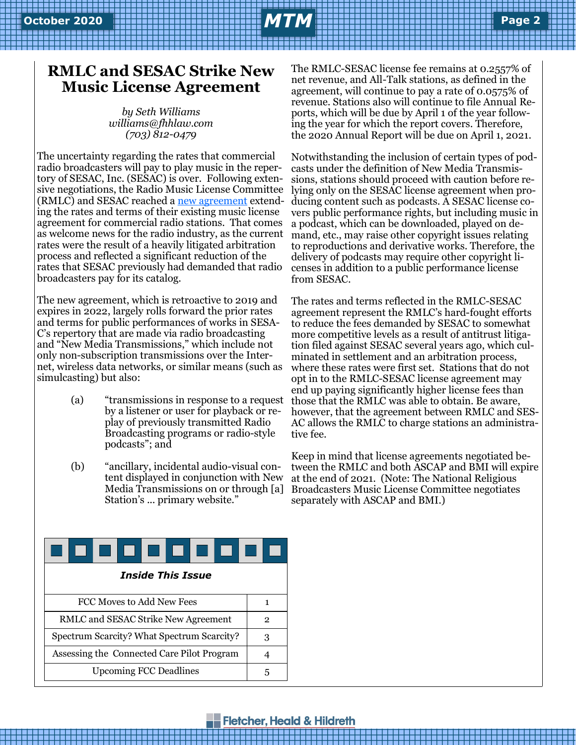## **February 2019 October 2020** *MTM* **Page Page 2 <sup>2</sup>**

### **RMLC and SESAC Strike New Music License Agreement**

*by Seth Williams williams@fhhlaw.com (703) 812-0479*

The uncertainty regarding the rates that commercial radio broadcasters will pay to play music in the repertory of SESAC, Inc. (SESAC) is over. Following extensive negotiations, the Radio Music License Committee (RMLC) and SESAC reached a [new agreement](https://dehayf5mhw1h7.cloudfront.net/wp-content/uploads/sites/893/2020/08/24160819/SESAC-2019-Blanket-License.pdf) extending the rates and terms of their existing music license agreement for commercial radio stations. That comes as welcome news for the radio industry, as the current rates were the result of a heavily litigated arbitration process and reflected a significant reduction of the rates that SESAC previously had demanded that radio broadcasters pay for its catalog.

The new agreement, which is retroactive to 2019 and expires in 2022, largely rolls forward the prior rates and terms for public performances of works in SESA-C's repertory that are made via radio broadcasting and "New Media Transmissions," which include not only non-subscription transmissions over the Internet, wireless data networks, or similar means (such as simulcasting) but also:

- (a) "transmissions in response to a request by a listener or user for playback or replay of previously transmitted Radio Broadcasting programs or radio-style podcasts"; and
- (b) "ancillary, incidental audio-visual content displayed in conjunction with New Media Transmissions on or through [a] Station's ... primary website."

The RMLC-SESAC license fee remains at 0.2557% of net revenue, and All-Talk stations, as defined in the agreement, will continue to pay a rate of 0.0575% of revenue. Stations also will continue to file Annual Reports, which will be due by April 1 of the year following the year for which the report covers. Therefore, the 2020 Annual Report will be due on April 1, 2021.

Notwithstanding the inclusion of certain types of podcasts under the definition of New Media Transmissions, stations should proceed with caution before relying only on the SESAC license agreement when producing content such as podcasts. A SESAC license covers public performance rights, but including music in a podcast, which can be downloaded, played on demand, etc., may raise other copyright issues relating to reproductions and derivative works. Therefore, the delivery of podcasts may require other copyright licenses in addition to a public performance license from SESAC.

The rates and terms reflected in the RMLC-SESAC agreement represent the RMLC's hard-fought efforts to reduce the fees demanded by SESAC to somewhat more competitive levels as a result of antitrust litigation filed against SESAC several years ago, which culminated in settlement and an arbitration process, where these rates were first set. Stations that do not opt in to the RMLC-SESAC license agreement may end up paying significantly higher license fees than those that the RMLC was able to obtain. Be aware, however, that the agreement between RMLC and SES-AC allows the RMLC to charge stations an administrative fee.

Keep in mind that license agreements negotiated between the RMLC and both ASCAP and BMI will expire at the end of 2021. (Note: The National Religious Broadcasters Music License Committee negotiates separately with ASCAP and BMI.)

| <i><b>Inside This Issue</b></i>            |   |
|--------------------------------------------|---|
| FCC Moves to Add New Fees                  | 1 |
| RMLC and SESAC Strike New Agreement        | 2 |
| Spectrum Scarcity? What Spectrum Scarcity? | З |
| Assessing the Connected Care Pilot Program |   |
| <b>Upcoming FCC Deadlines</b>              | 5 |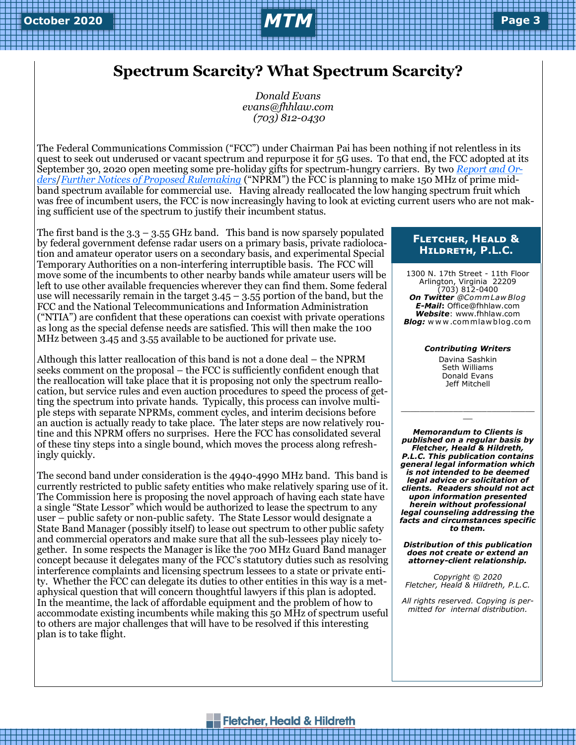### **Spectrum Scarcity? What Spectrum Scarcity?**

*Donald Evans evans@fhhlaw.com (703) 812-0430*

The Federal Communications Commission ("FCC") under Chairman Pai has been nothing if not relentless in its quest to seek out underused or vacant spectrum and repurpose it for 5G uses. To that end, the FCC adopted at its September 30, 2020 open meeting some pre-holiday gifts for spectrum-hungry carriers. By two *[Report and Or](https://docs.fcc.gov/public/attachments/DOC-366780A1.pdf)[ders](https://docs.fcc.gov/public/attachments/DOC-366780A1.pdf)*/*[Further Notices of Proposed Rulemaking](https://docs.fcc.gov/public/attachments/DOC-366780A1.pdf)* ("NPRM") the FCC is planning to make 150 MHz of prime midband spectrum available for commercial use. Having already reallocated the low hanging spectrum fruit which was free of incumbent users, the FCC is now increasingly having to look at evicting current users who are not making sufficient use of the spectrum to justify their incumbent status.

The first band is the  $3.3 - 3.55$  GHz band. This band is now sparsely populated by federal government defense radar users on a primary basis, private radiolocation and amateur operator users on a secondary basis, and experimental Special Temporary Authorities on a non-interfering interruptible basis. The FCC will move some of the incumbents to other nearby bands while amateur users will be left to use other available frequencies wherever they can find them. Some federal use will necessarily remain in the target  $3.45 - 3.55$  portion of the band, but the FCC and the National Telecommunications and Information Administration ("NTIA") are confident that these operations can coexist with private operations as long as the special defense needs are satisfied. This will then make the 100 MHz between 3.45 and 3.55 available to be auctioned for private use.

Although this latter reallocation of this band is not a done deal – the NPRM seeks comment on the proposal – the FCC is sufficiently confident enough that the reallocation will take place that it is proposing not only the spectrum reallocation, but service rules and even auction procedures to speed the process of getting the spectrum into private hands. Typically, this process can involve multiple steps with separate NPRMs, comment cycles, and interim decisions before an auction is actually ready to take place. The later steps are now relatively routine and this NPRM offers no surprises. Here the FCC has consolidated several of these tiny steps into a single bound, which moves the process along refreshingly quickly.

The second band under consideration is the 4940-4990 MHz band. This band is currently restricted to public safety entities who make relatively sparing use of it. The Commission here is proposing the novel approach of having each state have a single "State Lessor" which would be authorized to lease the spectrum to any user – public safety or non-public safety. The State Lessor would designate a State Band Manager (possibly itself) to lease out spectrum to other public safety and commercial operators and make sure that all the sub-lessees play nicely together. In some respects the Manager is like the 700 MHz Guard Band manager concept because it delegates many of the FCC's statutory duties such as resolving interference complaints and licensing spectrum lessees to a state or private entity. Whether the FCC can delegate its duties to other entities in this way is a metaphysical question that will concern thoughtful lawyers if this plan is adopted. In the meantime, the lack of affordable equipment and the problem of how to accommodate existing incumbents while making this 50 MHz of spectrum useful to others are major challenges that will have to be resolved if this interesting plan is to take flight.

#### **Fletcher, Heald & Hildreth, P.L.C.**

1300 N. 17th Street - 11th Floor Arlington, Virginia 22209 (703) 812-0400 *On Twitter @Comm Law Blog E-Mail***:** Office@fhhlaw.com *Website*: www.fhhlaw.com *Blog:* w w w .commlaw blog.com

*Contributing Writers*

Davina Sashkin Seth Williams Donald Evans Jeff Mitchell

\_\_\_\_\_\_\_\_\_\_\_\_\_\_\_\_\_\_\_\_\_\_\_\_\_\_\_\_  $\overline{a}$ 

*Memorandum to Clients is published on a regular basis by Fletcher, Heald & Hildreth, P.L.C. This publication contains general legal information which is not intended to be deemed legal advice or solicitation of clients. Readers should not act upon information presented herein without professional legal counseling addressing the facts and circumstances specific to them.*

*Distribution of this publication does not create or extend an attorney-client relationship.* 

*Copyright © 2020 Fletcher, Heald & Hildreth, P.L.C.*

*All rights reserved. Copying is permitted for internal distribution.*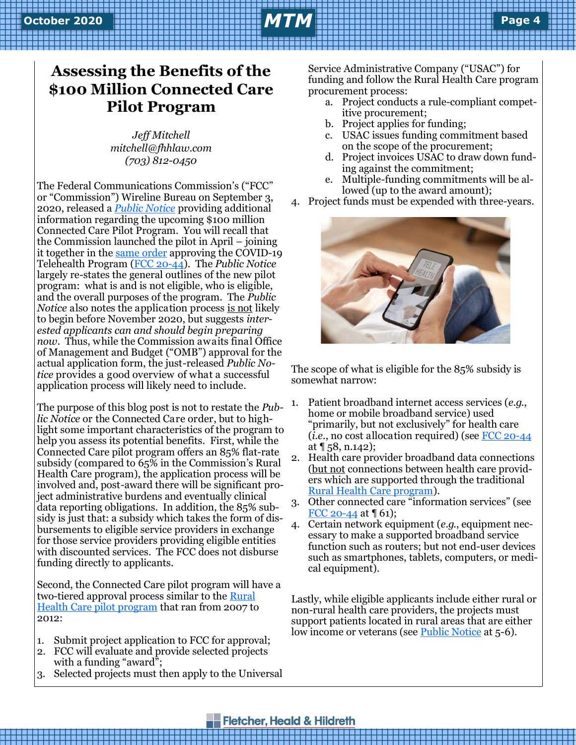# **February 2019 October 2020** *MTM* **Page Page 4 <sup>4</sup>**

## **Assessing the Benefits of the \$100 Million Connected Care Pilot Program**

*Jeff Mitchell mitchell@fhhlaw.com (703) 812-0450*

The Federal Communications Commission's ("FCC" or "Commission") Wireline Bureau on September 3, 2020, released a *[Public Notice](https://docs.fcc.gov/public/attachments/DA-20-1019A1.pdf)* providing additional information regarding the upcoming \$100 million Connected Care Pilot Program. You will recall that the Commission launched the pilot in April – joining it together in the [same order](https://docs.fcc.gov/public/attachments/FCC-20-44A1_Rcd.pdf) approving the COVID-19 Telehealth Program ([FCC 20](https://docs.fcc.gov/public/attachments/FCC-20-44A1_Rcd.pdf)-44). The *Public Notice* largely re-states the general outlines of the new pilot program: what is and is not eligible, who is eligible, and the overall purposes of the program. The *Public Notice* also notes the application process <u>is not</u> likely to begin before November 2020, but suggests *interested applicants can and should begin preparing now*. Thus, while the Commission awaits final Office of Management and Budget ("OMB") approval for the actual application form, the just-released *Public Notice* provides a good overview of what a successful application process will likely need to include.

The purpose of this blog post is not to restate the *Public Notice* or the Connected Care order, but to highlight some important characteristics of the program to help you assess its potential benefits. First, while the Connected Care pilot program offers an 85% flat-rate subsidy (compared to 65% in the Commission's Rural Health Care program), the application process will be involved and, post-award there will be significant project administrative burdens and eventually clinical data reporting obligations. In addition, the 85% subsidy is just that: a subsidy which takes the form of disbursements to eligible service providers in exchange for those service providers providing eligible entities with discounted services. The FCC does not disburse funding directly to applicants.

Second, the Connected Care pilot program will have a two-tiered approval process similar to the [Rural](https://www.fcc.gov/general/rural-health-care-pilot-program)  [Health Care pilot program](https://www.fcc.gov/general/rural-health-care-pilot-program) that ran from 2007 to 2012:

- 1. Submit project application to FCC for approval;
- 2. FCC will evaluate and provide selected projects with a funding "award";
- 3. Selected projects must then apply to the Universal

Service Administrative Company ("USAC") for funding and follow the Rural Health Care program procurement process:

- a. Project conducts a rule-compliant competitive procurement;
- b. Project applies for funding;
- c. USAC issues funding commitment based on the scope of the procurement;
- d. Project invoices USAC to draw down funding against the commitment;
- e. Multiple-funding commitments will be allowed (up to the award amount);
- 4. Project funds must be expended with three-years.



The scope of what is eligible for the 85% subsidy is somewhat narrow:

- 1. Patient broadband internet access services (*e.g.*, home or mobile broadband service) used "primarily, but not exclusively" for health care (*i.e.*, no cost allocation required) (see [FCC 20](https://docs.fcc.gov/public/attachments/FCC-20-44A1_Rcd.pdf)-44 at  $\P$  58, n.142);
- 2. Health care provider broadband data connections (but not connections between health care providers which are supported through the traditional [Rural Health Care program\).](https://www.usac.org/rural-health-care/)
- 3. Other connected care "information services" (see [FCC 20](https://docs.fcc.gov/public/attachments/FCC-20-44A1_Rcd.pdf)-44 at ¶ 61);
- 4. Certain network equipment (*e.g.*, equipment necessary to make a supported broadband service function such as routers; but not end-user devices such as smartphones, tablets, computers, or medical equipment).

Lastly, while eligible applicants include either rural or non-rural health care providers, the projects must support patients located in rural areas that are either low income or veterans (see [Public Notice](https://docs.fcc.gov/public/attachments/DA-20-1019A1.pdf) at 5-6).